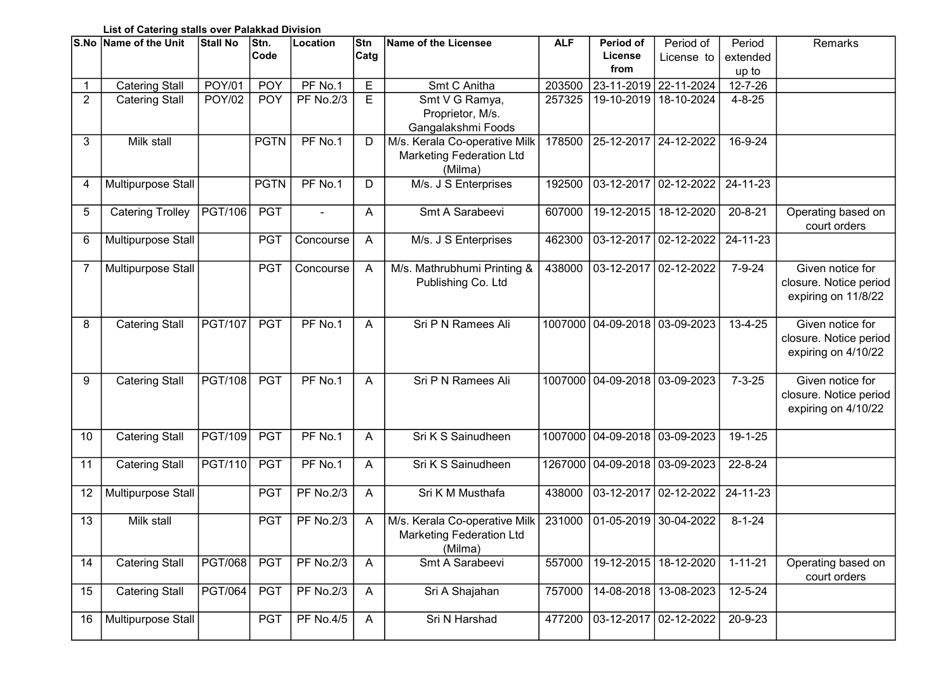## List of Catering stalls over Palakkad Division

|                | S.No Name of the Unit   | Stall No       | Stn.        | Location         | Stn          | Name of the Licensee            | <b>ALF</b> | Period of                     | Period of               | Period        | Remarks                |
|----------------|-------------------------|----------------|-------------|------------------|--------------|---------------------------------|------------|-------------------------------|-------------------------|---------------|------------------------|
|                |                         |                | Code        |                  | Catg         |                                 |            | License                       | License to              | extended      |                        |
|                |                         |                |             |                  |              |                                 |            | from                          |                         | up to         |                        |
| 1              | <b>Catering Stall</b>   | <b>POY/01</b>  | <b>POY</b>  | PF No.1          | E            | Smt C Anitha                    | 203500     |                               | 23-11-2019 22-11-2024   | $12 - 7 - 26$ |                        |
| $\overline{2}$ | <b>Catering Stall</b>   | <b>POY/02</b>  | <b>POY</b>  | <b>PF No.2/3</b> | E            | Smt V G Ramya,                  | 257325     | 19-10-2019                    | 18-10-2024              | $4 - 8 - 25$  |                        |
|                |                         |                |             |                  |              | Proprietor, M/s.                |            |                               |                         |               |                        |
|                |                         |                |             |                  |              | Gangalakshmi Foods              |            |                               |                         |               |                        |
| 3              | Milk stall              |                | <b>PGTN</b> | PF No.1          | D            | M/s. Kerala Co-operative Milk   | 178500     | 25-12-2017   24-12-2022       |                         | 16-9-24       |                        |
|                |                         |                |             |                  |              | <b>Marketing Federation Ltd</b> |            |                               |                         |               |                        |
|                |                         |                |             |                  |              | (Milma)                         |            |                               |                         |               |                        |
| 4              | Multipurpose Stall      |                | <b>PGTN</b> | PF No.1          | D            | M/s. J S Enterprises            | 192500     | 03-12-2017 02-12-2022         |                         | 24-11-23      |                        |
|                |                         |                |             |                  |              |                                 |            |                               |                         |               |                        |
| 5              | <b>Catering Trolley</b> | PGT/106        | <b>PGT</b>  |                  | A            | Smt A Sarabeevi                 | 607000     | 19-12-2015   18-12-2020       |                         | $20 - 8 - 21$ | Operating based on     |
|                |                         |                |             |                  |              |                                 |            |                               |                         |               | court orders           |
| 6              | Multipurpose Stall      |                | <b>PGT</b>  | Concourse        | A            | M/s. J S Enterprises            | 462300     | 03-12-2017   02-12-2022       |                         | 24-11-23      |                        |
|                |                         |                |             |                  |              |                                 |            |                               |                         |               |                        |
| 7              | Multipurpose Stall      |                | <b>PGT</b>  | Concourse        | A            | M/s. Mathrubhumi Printing &     | 438000     | 03-12-2017                    | 02-12-2022              | $7 - 9 - 24$  | Given notice for       |
|                |                         |                |             |                  |              | Publishing Co. Ltd              |            |                               |                         |               | closure. Notice period |
|                |                         |                |             |                  |              |                                 |            |                               |                         |               | expiring on 11/8/22    |
|                |                         |                |             |                  |              |                                 |            |                               |                         |               |                        |
| 8              | <b>Catering Stall</b>   | <b>PGT/107</b> | <b>PGT</b>  | PF No.1          | A            | Sri P N Ramees Ali              |            | 1007000 04-09-2018 03-09-2023 |                         | 13-4-25       | Given notice for       |
|                |                         |                |             |                  |              |                                 |            |                               |                         |               | closure. Notice period |
|                |                         |                |             |                  |              |                                 |            |                               |                         |               | expiring on 4/10/22    |
|                |                         |                |             |                  |              |                                 |            |                               |                         |               |                        |
| 9              | <b>Catering Stall</b>   | <b>PGT/108</b> | <b>PGT</b>  | PF No.1          | A            | Sri P N Ramees Ali              |            | 1007000 04-09-2018 03-09-2023 |                         | $7 - 3 - 25$  | Given notice for       |
|                |                         |                |             |                  |              |                                 |            |                               |                         |               | closure. Notice period |
|                |                         |                |             |                  |              |                                 |            |                               |                         |               | expiring on 4/10/22    |
|                |                         |                |             |                  |              |                                 |            |                               |                         |               |                        |
| 10             | <b>Catering Stall</b>   | PGT/109        | <b>PGT</b>  | PF No.1          | A            | Sri K S Sainudheen              |            | 1007000 04-09-2018 03-09-2023 |                         | 19-1-25       |                        |
|                |                         |                |             |                  |              |                                 |            |                               |                         |               |                        |
| 11             | Catering Stall          | PGT/110        | <b>PGT</b>  | PF No.1          | A            | Sri K S Sainudheen              |            | 1267000 04-09-2018 03-09-2023 |                         | 22-8-24       |                        |
|                |                         |                |             |                  |              |                                 |            |                               |                         |               |                        |
| 12             | Multipurpose Stall      |                | <b>PGT</b>  | <b>PF No.2/3</b> | A            | Sri K M Musthafa                | 438000     | 03-12-2017   02-12-2022       |                         | 24-11-23      |                        |
|                |                         |                |             |                  |              |                                 |            |                               |                         |               |                        |
| 13             | Milk stall              |                | <b>PGT</b>  | <b>PF No.2/3</b> | A            | M/s. Kerala Co-operative Milk   | 231000     | 01-05-2019   30-04-2022       |                         | $8 - 1 - 24$  |                        |
|                |                         |                |             |                  |              | <b>Marketing Federation Ltd</b> |            |                               |                         |               |                        |
|                |                         |                |             |                  |              | (Milma)                         |            |                               |                         |               |                        |
| 14             | <b>Catering Stall</b>   | <b>PGT/068</b> | <b>PGT</b>  | <b>PF No.2/3</b> | $\mathsf{A}$ | Smt A Sarabeevi                 | 557000     | 19-12-2015                    | 18-12-2020              | $1 - 11 - 21$ | Operating based on     |
|                |                         |                |             |                  |              |                                 |            |                               |                         |               | court orders           |
| 15             | <b>Catering Stall</b>   | <b>PGT/064</b> | <b>PGT</b>  | <b>PF No.2/3</b> | $\mathsf{A}$ | Sri A Shajahan                  | 757000     |                               | 14-08-2018   13-08-2023 | 12-5-24       |                        |
|                |                         |                |             |                  |              |                                 |            |                               |                         | $20 - 9 - 23$ |                        |
| 16             | Multipurpose Stall      |                | <b>PGT</b>  | <b>PF No.4/5</b> | $\mathsf{A}$ | Sri N Harshad                   | 477200     | 03-12-2017 02-12-2022         |                         |               |                        |
|                |                         |                |             |                  |              |                                 |            |                               |                         |               |                        |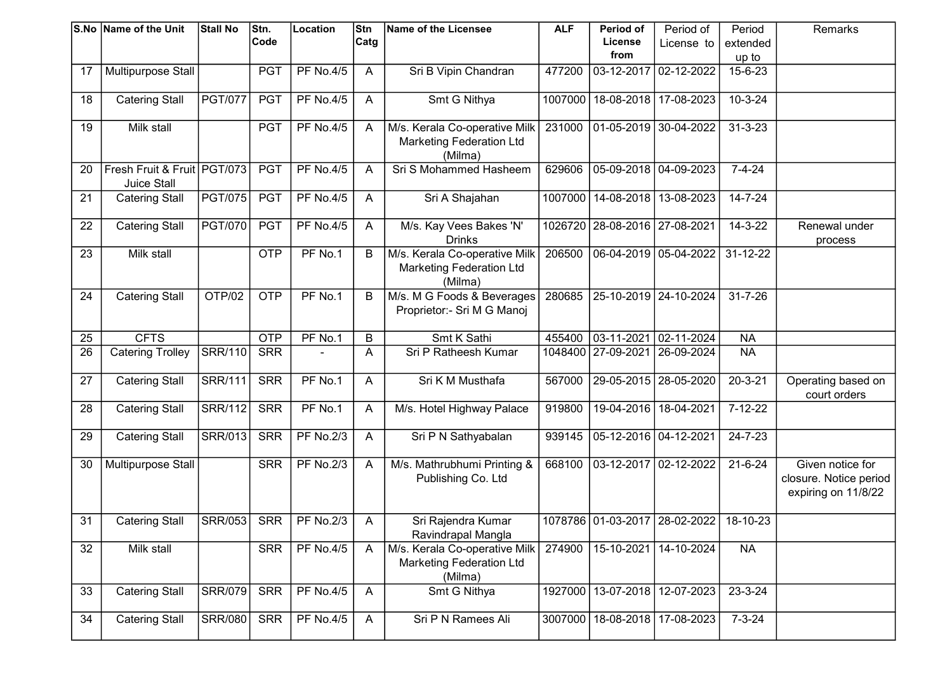|    | S.No Name of the Unit       | <b>Stall No</b> | Stn.       | Location         | Stn          | Name of the Licensee            | <b>ALF</b> | Period of                         | Period of             | Period        | Remarks                |
|----|-----------------------------|-----------------|------------|------------------|--------------|---------------------------------|------------|-----------------------------------|-----------------------|---------------|------------------------|
|    |                             |                 | Code       |                  | Catg         |                                 |            | <b>License</b>                    | License to            | extended      |                        |
|    |                             |                 |            |                  |              |                                 |            | from                              |                       | up to         |                        |
| 17 | Multipurpose Stall          |                 | <b>PGT</b> | <b>PF No.4/5</b> | A            | Sri B Vipin Chandran            | 477200     | 03-12-2017                        | 02-12-2022            | 15-6-23       |                        |
|    |                             |                 |            |                  |              |                                 |            |                                   |                       |               |                        |
| 18 | <b>Catering Stall</b>       | <b>PGT/077</b>  | <b>PGT</b> | <b>PF No.4/5</b> | A            | Smt G Nithya                    | 1007000    | 18-08-2018 17-08-2023             |                       | $10 - 3 - 24$ |                        |
|    |                             |                 |            |                  |              |                                 |            |                                   |                       |               |                        |
| 19 | Milk stall                  |                 | <b>PGT</b> | <b>PF No.4/5</b> | A            | M/s. Kerala Co-operative Milk   | 231000     | 01-05-2019 30-04-2022             |                       | $31 - 3 - 23$ |                        |
|    |                             |                 |            |                  |              | <b>Marketing Federation Ltd</b> |            |                                   |                       |               |                        |
|    |                             |                 |            |                  |              | (Milma)                         |            |                                   |                       |               |                        |
| 20 | Fresh Fruit & Fruit PGT/073 |                 | <b>PGT</b> | <b>PF No.4/5</b> | A            | Sri S Mohammed Hasheem          | 629606     | $05-09-2018$ 04-09-2023           |                       | $7 - 4 - 24$  |                        |
|    | <b>Juice Stall</b>          |                 |            |                  |              |                                 |            |                                   |                       |               |                        |
| 21 | <b>Catering Stall</b>       | <b>PGT/075</b>  | <b>PGT</b> | <b>PF No.4/5</b> | A            | Sri A Shajahan                  |            | 1007000   14-08-2018              | 13-08-2023            | 14-7-24       |                        |
|    |                             |                 |            |                  |              |                                 |            |                                   |                       |               |                        |
| 22 | <b>Catering Stall</b>       | <b>PGT/070</b>  | <b>PGT</b> | <b>PF No.4/5</b> | $\mathsf{A}$ | M/s. Kay Vees Bakes 'N'         |            | 1026720 28-08-2016 27-08-2021     |                       | $14 - 3 - 22$ | Renewal under          |
|    |                             |                 |            |                  |              | <b>Drinks</b>                   |            |                                   |                       |               | process                |
| 23 | Milk stall                  |                 | <b>OTP</b> | PF No.1          | B            | M/s. Kerala Co-operative Milk   | 206500     | 06-04-2019 05-04-2022             |                       | 31-12-22      |                        |
|    |                             |                 |            |                  |              | <b>Marketing Federation Ltd</b> |            |                                   |                       |               |                        |
|    |                             |                 |            |                  |              | (Milma)                         |            |                                   |                       |               |                        |
| 24 |                             | OTP/02          | <b>OTP</b> | $PF$ No.1        |              | M/s. M G Foods & Beverages      | 280685     |                                   | 25-10-2019 24-10-2024 | $31 - 7 - 26$ |                        |
|    | <b>Catering Stall</b>       |                 |            |                  | B            |                                 |            |                                   |                       |               |                        |
|    |                             |                 |            |                  |              | Proprietor:- Sri M G Manoj      |            |                                   |                       |               |                        |
|    |                             |                 |            |                  |              |                                 |            |                                   |                       |               |                        |
| 25 | <b>CFTS</b>                 |                 | <b>OTP</b> | PF No.1          | $\sf B$      | Smt K Sathi                     | 455400     | 03-11-2021                        | $ 02 - 11 - 2024$     | <b>NA</b>     |                        |
| 26 | <b>Catering Trolley</b>     | <b>SRR/110</b>  | <b>SRR</b> |                  | A            | Sri P Ratheesh Kumar            |            | 1048400 27-09-2021                | $26-09-2024$          | <b>NA</b>     |                        |
|    |                             |                 |            |                  |              |                                 |            |                                   |                       |               |                        |
| 27 | <b>Catering Stall</b>       | <b>SRR/111</b>  | <b>SRR</b> | PF No.1          | A            | Sri K M Musthafa                | 567000     | 29-05-2015   28-05-2020           |                       | $20 - 3 - 21$ | Operating based on     |
|    |                             |                 |            |                  |              |                                 |            |                                   |                       |               | court orders           |
| 28 | <b>Catering Stall</b>       | <b>SRR/112</b>  | <b>SRR</b> | PF No.1          | A            | M/s. Hotel Highway Palace       | 919800     | 19-04-2016   18-04-2021           |                       | $7 - 12 - 22$ |                        |
|    |                             |                 |            |                  |              |                                 |            |                                   |                       |               |                        |
| 29 | <b>Catering Stall</b>       | <b>SRR/013</b>  | <b>SRR</b> | <b>PF No.2/3</b> | A            | Sri P N Sathyabalan             | 939145     | 05-12-2016 04-12-2021             |                       | 24-7-23       |                        |
|    |                             |                 |            |                  |              |                                 |            |                                   |                       |               |                        |
| 30 | Multipurpose Stall          |                 | <b>SRR</b> | <b>PF No.2/3</b> | A            | M/s. Mathrubhumi Printing &     | 668100     | 03-12-2017 02-12-2022             |                       | $21 - 6 - 24$ | Given notice for       |
|    |                             |                 |            |                  |              | Publishing Co. Ltd              |            |                                   |                       |               | closure. Notice period |
|    |                             |                 |            |                  |              |                                 |            |                                   |                       |               | expiring on 11/8/22    |
|    |                             |                 |            |                  |              |                                 |            |                                   |                       |               |                        |
| 31 | <b>Catering Stall</b>       | <b>SRR/053</b>  | <b>SRR</b> | <b>PF No.2/3</b> | A            | Sri Rajendra Kumar              |            | 1078786 01-03-2017 28-02-2022     |                       | 18-10-23      |                        |
|    |                             |                 |            |                  |              | Ravindrapal Mangla              |            |                                   |                       |               |                        |
| 32 | Milk stall                  |                 | <b>SRR</b> | <b>PF No.4/5</b> | A            | M/s. Kerala Co-operative Milk   | 274900     | 15-10-2021                        | 14-10-2024            | <b>NA</b>     |                        |
|    |                             |                 |            |                  |              | <b>Marketing Federation Ltd</b> |            |                                   |                       |               |                        |
|    |                             |                 |            |                  |              | (Milma)                         |            |                                   |                       |               |                        |
| 33 | <b>Catering Stall</b>       | <b>SRR/079</b>  | <b>SRR</b> | <b>PF No.4/5</b> | $\mathsf{A}$ | Smt G Nithya                    | 1927000    |                                   | 13-07-2018 12-07-2023 | 23-3-24       |                        |
|    |                             |                 |            |                  |              |                                 |            |                                   |                       |               |                        |
| 34 | <b>Catering Stall</b>       | <b>SRR/080</b>  | <b>SRR</b> | <b>PF No.4/5</b> | $\mathsf{A}$ | Sri P N Ramees Ali              |            | 3007000   18-08-2018   17-08-2023 |                       | $7 - 3 - 24$  |                        |
|    |                             |                 |            |                  |              |                                 |            |                                   |                       |               |                        |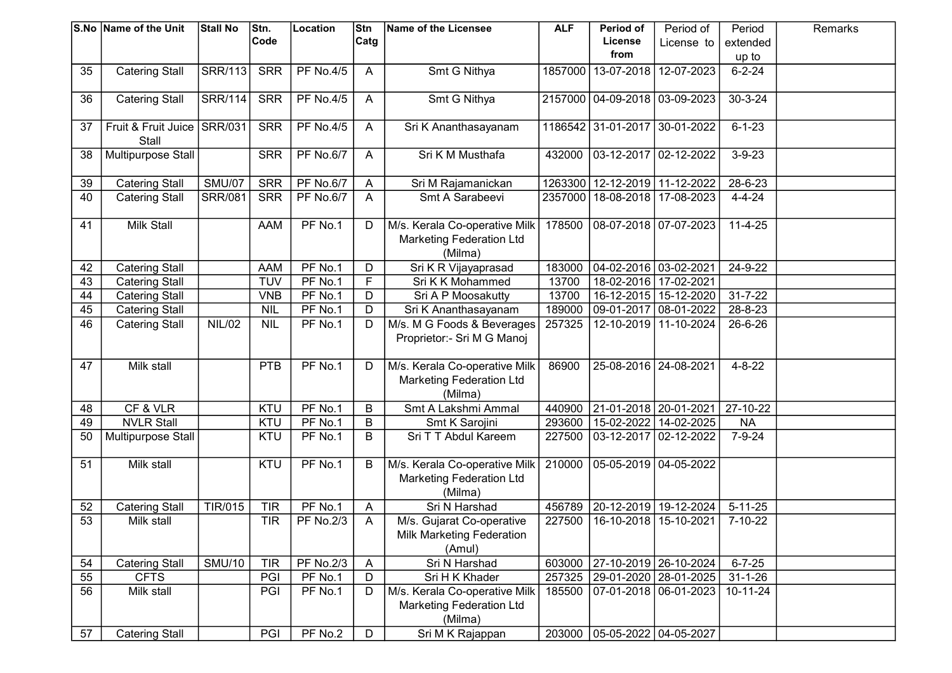|    | S.No Name of the Unit | <b>Stall No</b> | Stn.       | Location         | Stn            | Name of the Licensee            | <b>ALF</b> | Period of                         | Period of             | Period         | Remarks |
|----|-----------------------|-----------------|------------|------------------|----------------|---------------------------------|------------|-----------------------------------|-----------------------|----------------|---------|
|    |                       |                 | Code       |                  | Catg           |                                 |            | License                           | License to            | extended       |         |
|    |                       |                 |            |                  |                |                                 |            | from                              |                       | up to          |         |
| 35 | <b>Catering Stall</b> | <b>SRR/113</b>  | <b>SRR</b> | <b>PF No.4/5</b> | A              | Smt G Nithya                    | 1857000    | 13-07-2018                        | 12-07-2023            | $6 - 2 - 24$   |         |
|    |                       |                 |            |                  |                |                                 |            |                                   |                       |                |         |
| 36 | <b>Catering Stall</b> | <b>SRR/114</b>  | <b>SRR</b> | <b>PF No.4/5</b> | A              | Smt G Nithya                    |            | 2157000   04-09-2018   03-09-2023 |                       | $30 - 3 - 24$  |         |
|    |                       |                 |            |                  |                |                                 |            |                                   |                       |                |         |
| 37 | Fruit & Fruit Juice   | SRR/031         | <b>SRR</b> | <b>PF No.4/5</b> | $\mathsf{A}$   | Sri K Ananthasayanam            |            | 1186542 31-01-2017 30-01-2022     |                       | $6 - 1 - 23$   |         |
|    | Stall                 |                 |            |                  |                |                                 |            |                                   |                       |                |         |
| 38 | Multipurpose Stall    |                 | <b>SRR</b> | <b>PF No.6/7</b> | A              | Sri K M Musthafa                | 432000     | 03-12-2017 02-12-2022             |                       | $3 - 9 - 23$   |         |
|    |                       |                 |            |                  |                |                                 |            |                                   |                       |                |         |
| 39 | <b>Catering Stall</b> | <b>SMU/07</b>   | <b>SRR</b> | <b>PF No.6/7</b> | A              | Sri M Rajamanickan              | 1263300    | 12-12-2019 11-12-2022             |                       | 28-6-23        |         |
| 40 | <b>Catering Stall</b> | <b>SRR/081</b>  | <b>SRR</b> | <b>PF No.6/7</b> | A              | Smt A Sarabeevi                 | 2357000    | 18-08-2018 17-08-2023             |                       | $4 - 4 - 24$   |         |
|    |                       |                 |            |                  |                |                                 |            |                                   |                       |                |         |
| 41 | <b>Milk Stall</b>     |                 | <b>AAM</b> | PF No.1          | D              | M/s. Kerala Co-operative Milk   | 178500     | 08-07-2018 07-07-2023             |                       | $11-4-25$      |         |
|    |                       |                 |            |                  |                | <b>Marketing Federation Ltd</b> |            |                                   |                       |                |         |
|    |                       |                 |            |                  |                | (Milma)                         |            |                                   |                       |                |         |
| 42 | <b>Catering Stall</b> |                 | <b>AAM</b> | PF No.1          | D              | Sri K R Vijayaprasad            | 183000     | 04-02-2016 03-02-2021             |                       | $24 - 9 - 22$  |         |
| 43 | <b>Catering Stall</b> |                 | <b>TUV</b> | PF No.1          | $\overline{F}$ | Sri K K Mohammed                | 13700      | 18-02-2016   17-02-2021           |                       |                |         |
| 44 | <b>Catering Stall</b> |                 | <b>VNB</b> | PF No.1          | D              | Sri A P Moosakutty              | 13700      | 16-12-2015 15-12-2020             |                       | $31 - 7 - 22$  |         |
| 45 | <b>Catering Stall</b> |                 | <b>NIL</b> | PF No.1          | D              | Sri K Ananthasayanam            | 189000     | 09-01-2017 08-01-2022             |                       | 28-8-23        |         |
| 46 | <b>Catering Stall</b> | <b>NIL/02</b>   | <b>NIL</b> | PF No.1          | D              | M/s. M G Foods & Beverages      | 257325     | 12-10-2019 11-10-2024             |                       | 26-6-26        |         |
|    |                       |                 |            |                  |                | Proprietor:- Sri M G Manoj      |            |                                   |                       |                |         |
|    |                       |                 |            |                  |                |                                 |            |                                   |                       |                |         |
| 47 | Milk stall            |                 | <b>PTB</b> | PF No.1          | D              | M/s. Kerala Co-operative Milk   | 86900      | 25-08-2016 24-08-2021             |                       | $4 - 8 - 22$   |         |
|    |                       |                 |            |                  |                | <b>Marketing Federation Ltd</b> |            |                                   |                       |                |         |
|    |                       |                 |            |                  |                | (Milma)                         |            |                                   |                       |                |         |
| 48 | CF & VLR              |                 | KTU        | PF No.1          | B              | Smt A Lakshmi Ammal             | 440900     | 21-01-2018 20-01-2021             |                       | $27-10-22$     |         |
| 49 | <b>NVLR Stall</b>     |                 | KTU        | PF No.1          | B              | Smt K Sarojini                  | 293600     | 15-02-2022                        | 14-02-2025            | <b>NA</b>      |         |
| 50 | Multipurpose Stall    |                 | KTU        | PF No.1          | B              | Sri T T Abdul Kareem            | 227500     | 03-12-2017                        | 02-12-2022            | $7 - 9 - 24$   |         |
|    |                       |                 |            |                  |                |                                 |            |                                   |                       |                |         |
| 51 | Milk stall            |                 | KTU        | PF No.1          | B              | M/s. Kerala Co-operative Milk   | 210000     | 05-05-2019 04-05-2022             |                       |                |         |
|    |                       |                 |            |                  |                | <b>Marketing Federation Ltd</b> |            |                                   |                       |                |         |
|    |                       |                 |            |                  |                | (Milma)                         |            |                                   |                       |                |         |
| 52 | <b>Catering Stall</b> | TIR/015         | <b>TIR</b> | PF No.1          | A              | Sri N Harshad                   | 456789     | 20-12-2019 19-12-2024             |                       | $5 - 11 - 25$  |         |
| 53 | Milk stall            |                 | <b>TIR</b> | <b>PF No.2/3</b> | A              | M/s. Gujarat Co-operative       | 227500     | 16-10-2018   15-10-2021           |                       | $7 - 10 - 22$  |         |
|    |                       |                 |            |                  |                |                                 |            |                                   |                       |                |         |
|    |                       |                 |            |                  |                | Milk Marketing Federation       |            |                                   |                       |                |         |
|    |                       | <b>SMU/10</b>   |            |                  |                | (Amul)<br>Sri N Harshad         |            |                                   |                       | $6 - 7 - 25$   |         |
| 54 | <b>Catering Stall</b> |                 | <b>TIR</b> | <b>PF No.2/3</b> | $\mathsf{A}$   |                                 | 603000     | 27-10-2019 26-10-2024             |                       |                |         |
| 55 | <b>CFTS</b>           |                 | PGI        | PF No.1          | D              | Sri H K Khader                  | 257325     |                                   | 29-01-2020 28-01-2025 | $31 - 1 - 26$  |         |
| 56 | Milk stall            |                 | PGI        | PF No.1          | D              | M/s. Kerala Co-operative Milk   | 185500     | 07-01-2018 06-01-2023             |                       | $10 - 11 - 24$ |         |
|    |                       |                 |            |                  |                | <b>Marketing Federation Ltd</b> |            |                                   |                       |                |         |
|    |                       |                 |            |                  |                | (Milma)                         |            |                                   |                       |                |         |
| 57 | <b>Catering Stall</b> |                 | PGI        | PF No.2          | D              | Sri M K Rajappan                |            | 203000   05-05-2022   04-05-2027  |                       |                |         |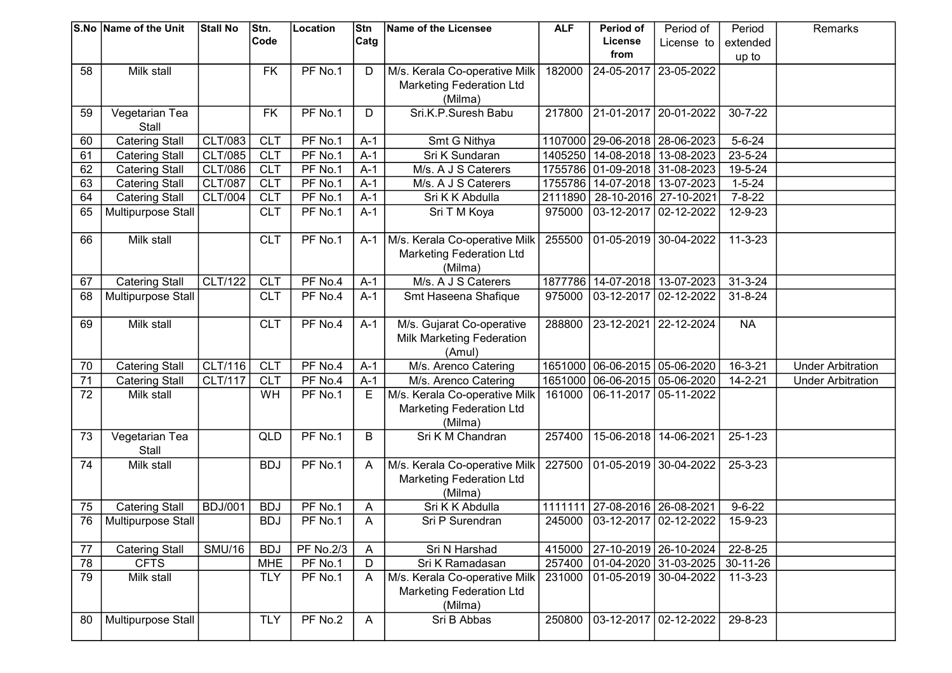|                 | S.No Name of the Unit | <b>Stall No</b> | Stn.       | Location         | Stn          | Name of the Licensee            | <b>ALF</b> | Period of                         | Period of                    | Period         | Remarks                  |
|-----------------|-----------------------|-----------------|------------|------------------|--------------|---------------------------------|------------|-----------------------------------|------------------------------|----------------|--------------------------|
|                 |                       |                 | Code       |                  | Catg         |                                 |            | <b>License</b>                    | License to                   | extended       |                          |
|                 |                       |                 |            |                  |              |                                 |            | from                              |                              | up to          |                          |
| 58              | Milk stall            |                 | <b>FK</b>  | PF No.1          | D            | M/s. Kerala Co-operative Milk   | 182000     | 24-05-2017                        | 23-05-2022                   |                |                          |
|                 |                       |                 |            |                  |              | <b>Marketing Federation Ltd</b> |            |                                   |                              |                |                          |
|                 |                       |                 |            |                  |              | (Milma)                         |            |                                   |                              |                |                          |
| 59              | Vegetarian Tea        |                 | <b>FK</b>  | PF No.1          | D            | Sri.K.P.Suresh Babu             |            | 217800 21-01-2017 20-01-2022      |                              | $30 - 7 - 22$  |                          |
|                 | Stall                 |                 |            |                  |              |                                 |            |                                   |                              |                |                          |
| 60              | <b>Catering Stall</b> | <b>CLT/083</b>  | <b>CLT</b> | PF No.1          | $A-1$        | Smt G Nithya                    |            | 1107000 29-06-2018 28-06-2023     |                              | $5 - 6 - 24$   |                          |
| 61              | <b>Catering Stall</b> | <b>CLT/085</b>  | <b>CLT</b> | PF No.1          | $A-1$        | Sri K Sundaran                  |            | 1405250   14-08-2018   13-08-2023 |                              | 23-5-24        |                          |
| 62              | <b>Catering Stall</b> | <b>CLT/086</b>  | <b>CLT</b> | PF No.1          | $A-1$        | M/s. A J S Caterers             |            | 1755786 01-09-2018 31-08-2023     |                              | $19 - 5 - 24$  |                          |
| 63              | <b>Catering Stall</b> | <b>CLT/087</b>  | <b>CLT</b> | PF No.1          | $A-1$        | M/s. A J S Caterers             |            | 1755786   14-07-2018   13-07-2023 |                              | $1 - 5 - 24$   |                          |
| 64              | <b>Catering Stall</b> | <b>CLT/004</b>  | <b>CLT</b> | PF No.1          | $A-1$        | Sri K K Abdulla                 | 2111890    |                                   | 28-10-2016 27-10-2021        | $7 - 8 - 22$   |                          |
| 65              | Multipurpose Stall    |                 | <b>CLT</b> | PF No.1          | $A-1$        | Sri T M Koya                    | 975000     | 03-12-2017 02-12-2022             |                              | 12-9-23        |                          |
|                 |                       |                 |            |                  |              |                                 |            |                                   |                              |                |                          |
| 66              | Milk stall            |                 | <b>CLT</b> | PF No.1          | $A-1$        | M/s. Kerala Co-operative Milk   | 255500     | 01-05-2019 30-04-2022             |                              | $11 - 3 - 23$  |                          |
|                 |                       |                 |            |                  |              | <b>Marketing Federation Ltd</b> |            |                                   |                              |                |                          |
|                 |                       |                 |            |                  |              | (Milma)                         |            |                                   |                              |                |                          |
| 67              | <b>Catering Stall</b> | CLT/122         | <b>CLT</b> | PF No.4          | $A-1$        | M/s. A J S Caterers             | 1877786    | 14-07-2018 13-07-2023             |                              | $31 - 3 - 24$  |                          |
| 68              | Multipurpose Stall    |                 | <b>CLT</b> | PF No.4          | $A-1$        | Smt Haseena Shafique            | 975000     | 03-12-2017 02-12-2022             |                              | $31 - 8 - 24$  |                          |
|                 |                       |                 |            |                  |              |                                 |            |                                   |                              |                |                          |
| 69              | Milk stall            |                 | <b>CLT</b> | PF No.4          | $A-1$        | M/s. Gujarat Co-operative       | 288800     | 23-12-2021                        | $22 - 12 - 2024$             | <b>NA</b>      |                          |
|                 |                       |                 |            |                  |              | Milk Marketing Federation       |            |                                   |                              |                |                          |
|                 |                       |                 |            |                  |              | (Amul)                          |            |                                   |                              |                |                          |
| 70              | <b>Catering Stall</b> | CLT/116         | <b>CLT</b> | PF No.4          | $A-1$        | M/s. Arenco Catering            |            | 1651000 06-06-2015 05-06-2020     |                              | $16 - 3 - 21$  | <b>Under Arbitration</b> |
| $\overline{71}$ | <b>Catering Stall</b> | <b>CLT/117</b>  | CLT        | PF No.4          | $A-1$        | M/s. Arenco Catering            |            | 1651000 06-06-2015 05-06-2020     |                              | $14 - 2 - 21$  | <b>Under Arbitration</b> |
| 72              | Milk stall            |                 | WH         | PF No.1          | E            | M/s. Kerala Co-operative Milk   | 161000     | 06-11-2017 05-11-2022             |                              |                |                          |
|                 |                       |                 |            |                  |              | <b>Marketing Federation Ltd</b> |            |                                   |                              |                |                          |
|                 |                       |                 |            |                  |              | (Milma)                         |            |                                   |                              |                |                          |
| 73              | Vegetarian Tea        |                 | QLD        | PF No.1          | B            | Sri K M Chandran                | 257400     | 15-06-2018 14-06-2021             |                              | $25 - 1 - 23$  |                          |
|                 | Stall                 |                 |            |                  |              |                                 |            |                                   |                              |                |                          |
| 74              | Milk stall            |                 | <b>BDJ</b> | PF No.1          | A            | M/s. Kerala Co-operative Milk   | 227500     | 01-05-2019 30-04-2022             |                              | 25-3-23        |                          |
|                 |                       |                 |            |                  |              | <b>Marketing Federation Ltd</b> |            |                                   |                              |                |                          |
|                 |                       |                 |            |                  |              | (Milma)                         |            |                                   |                              |                |                          |
| 75              | <b>Catering Stall</b> | <b>BDJ/001</b>  | <b>BDJ</b> | PF No.1          | A            | Sri K K Abdulla                 |            | 1111111   27-08-2016   26-08-2021 |                              | $9 - 6 - 22$   |                          |
| 76              | Multipurpose Stall    |                 | <b>BDJ</b> | PF No.1          | A            | Sri P Surendran                 |            | 245000 03-12-2017 02-12-2022      |                              | 15-9-23        |                          |
|                 |                       |                 |            |                  |              |                                 |            |                                   |                              |                |                          |
| 77              | <b>Catering Stall</b> | <b>SMU/16</b>   | <b>BDJ</b> | <b>PF No.2/3</b> | $\mathsf{A}$ | Sri N Harshad                   |            | 415000 27-10-2019 26-10-2024      |                              | 22-8-25        |                          |
| 78              | <b>CFTS</b>           |                 | <b>MHE</b> | PF No.1          | D            | Sri K Ramadasan                 |            |                                   | 257400 01-04-2020 31-03-2025 | $30 - 11 - 26$ |                          |
| 79              | Milk stall            |                 | <b>TLY</b> | PF No.1          | A            | M/s. Kerala Co-operative Milk   |            |                                   | 231000 01-05-2019 30-04-2022 | $11 - 3 - 23$  |                          |
|                 |                       |                 |            |                  |              | Marketing Federation Ltd        |            |                                   |                              |                |                          |
|                 |                       |                 |            |                  |              | (Milma)                         |            |                                   |                              |                |                          |
| 80              | Multipurpose Stall    |                 | <b>TLY</b> | PF No.2          | A            | Sri B Abbas                     | 250800     | 03-12-2017 02-12-2022             |                              | $29 - 8 - 23$  |                          |
|                 |                       |                 |            |                  |              |                                 |            |                                   |                              |                |                          |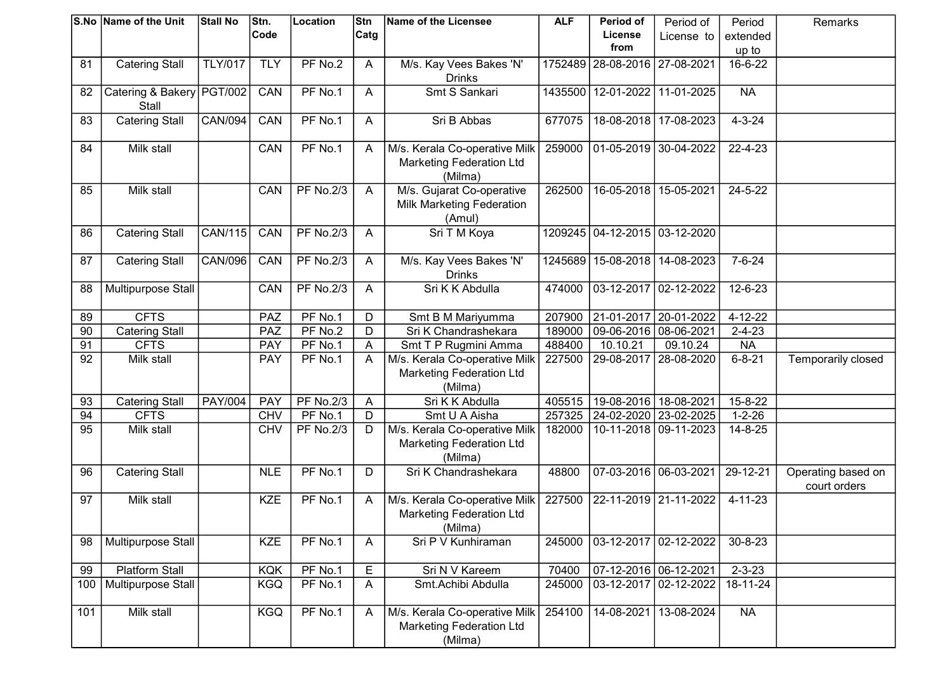|     | S.No Name of the Unit                | <b>Stall No</b> | Stn.       | Location         | Stn            | Name of the Licensee                                                        | <b>ALF</b> | Period of                         | Period of               | Period        | Remarks                            |
|-----|--------------------------------------|-----------------|------------|------------------|----------------|-----------------------------------------------------------------------------|------------|-----------------------------------|-------------------------|---------------|------------------------------------|
|     |                                      |                 | Code       |                  | Catg           |                                                                             |            | License                           | License to              | extended      |                                    |
|     |                                      |                 |            |                  |                |                                                                             |            | from                              |                         | up to         |                                    |
| 81  | <b>Catering Stall</b>                | <b>TLY/017</b>  | <b>TLY</b> | PF No.2          | $\mathsf{A}$   | M/s. Kay Vees Bakes 'N'<br><b>Drinks</b>                                    |            | 1752489 28-08-2016 27-08-2021     |                         | 16-6-22       |                                    |
| 82  | Catering & Bakery   PGT/002<br>Stall |                 | CAN        | PF No.1          | A              | Smt S Sankari                                                               |            | 1435500   12-01-2022   11-01-2025 |                         | <b>NA</b>     |                                    |
| 83  | <b>Catering Stall</b>                | <b>CAN/094</b>  | CAN        | PF No.1          | A              | Sri B Abbas                                                                 | 677075     |                                   | 18-08-2018   17-08-2023 | $4 - 3 - 24$  |                                    |
| 84  | Milk stall                           |                 | CAN        | PF No.1          | A              | M/s. Kerala Co-operative Milk<br><b>Marketing Federation Ltd</b><br>(Milma) | 259000     | 01-05-2019 30-04-2022             |                         | 22-4-23       |                                    |
| 85  | Milk stall                           |                 | CAN        | <b>PF No.2/3</b> | A              | M/s. Gujarat Co-operative<br>Milk Marketing Federation<br>(Amul)            | 262500     | 16-05-2018 15-05-2021             |                         | 24-5-22       |                                    |
| 86  | <b>Catering Stall</b>                | CAN/115         | CAN        | <b>PF No.2/3</b> | A              | Sri T M Koya                                                                |            | 1209245 04-12-2015 03-12-2020     |                         |               |                                    |
| 87  | <b>Catering Stall</b>                | <b>CAN/096</b>  | CAN        | <b>PF No.2/3</b> | $\mathsf{A}$   | M/s. Kay Vees Bakes 'N'<br><b>Drinks</b>                                    | 1245689    |                                   | 15-08-2018 14-08-2023   | $7 - 6 - 24$  |                                    |
| 88  | Multipurpose Stall                   |                 | CAN        | <b>PF No.2/3</b> | A              | Sri K K Abdulla                                                             | 474000     | 03-12-2017 02-12-2022             |                         | 12-6-23       |                                    |
| 89  | <b>CFTS</b>                          |                 | PAZ        | PF No.1          | D              | Smt B M Mariyumma                                                           | 207900     | 21-01-2017                        | 20-01-2022              | 4-12-22       |                                    |
| 90  | <b>Catering Stall</b>                |                 | PAZ        | PF No.2          | D              | Sri K Chandrashekara                                                        | 189000     | 09-06-2016 08-06-2021             |                         | $2 - 4 - 23$  |                                    |
| 91  | <b>CFTS</b>                          |                 | PAY        | PF No.1          | A              | Smt T P Rugmini Amma                                                        | 488400     | 10.10.21                          | 09.10.24                | <b>NA</b>     |                                    |
| 92  | Milk stall                           |                 | <b>PAY</b> | PF No.1          | A              | M/s. Kerala Co-operative Milk<br><b>Marketing Federation Ltd</b><br>(Milma) | 227500     | 29-08-2017                        | 28-08-2020              | $6 - 8 - 21$  | Temporarily closed                 |
| 93  | <b>Catering Stall</b>                | <b>PAY/004</b>  | PAY        | <b>PF No.2/3</b> | A              | Sri K K Abdulla                                                             | 405515     | 19-08-2016   18-08-2021           |                         | 15-8-22       |                                    |
| 94  | <b>CFTS</b>                          |                 | <b>CHV</b> | PF No.1          | $\overline{D}$ | Smt U A Aisha                                                               | 257325     | 24-02-2020   23-02-2025           |                         | $1 - 2 - 26$  |                                    |
| 95  | Milk stall                           |                 | <b>CHV</b> | <b>PF No.2/3</b> | D              | M/s. Kerala Co-operative Milk<br><b>Marketing Federation Ltd</b><br>(Milma) | 182000     |                                   | 10-11-2018 09-11-2023   | $14 - 8 - 25$ |                                    |
| 96  | <b>Catering Stall</b>                |                 | <b>NLE</b> | PF No.1          | D              | Sri K Chandrashekara                                                        | 48800      | 07-03-2016 06-03-2021             |                         | 29-12-21      | Operating based on<br>court orders |
| 97  | <b>Milk stall</b>                    |                 | <b>KZE</b> | PF No.1          | A              | M/s. Kerala Co-operative Milk<br><b>Marketing Federation Ltd</b><br>(Milma) | 227500     | 22-11-2019 21-11-2022             |                         | $4 - 11 - 23$ |                                    |
| 98  | Multipurpose Stall                   |                 | <b>KZE</b> | PF No.1          | A              | Sri P V Kunhiraman                                                          | 245000     | 03-12-2017 02-12-2022             |                         | $30 - 8 - 23$ |                                    |
| 99  | <b>Platform Stall</b>                |                 | <b>KQK</b> | PF No.1          | E              | Sri N V Kareem                                                              | 70400      | 07-12-2016 06-12-2021             |                         | $2 - 3 - 23$  |                                    |
| 100 | Multipurpose Stall                   |                 | <b>KGQ</b> | PF No.1          | A              | Smt.Achibi Abdulla                                                          | 245000     |                                   | 03-12-2017 02-12-2022   | 18-11-24      |                                    |
| 101 | Milk stall                           |                 | <b>KGQ</b> | PF No.1          | A              | M/s. Kerala Co-operative Milk<br><b>Marketing Federation Ltd</b><br>(Milma) | 254100     | 14-08-2021                        | 13-08-2024              | <b>NA</b>     |                                    |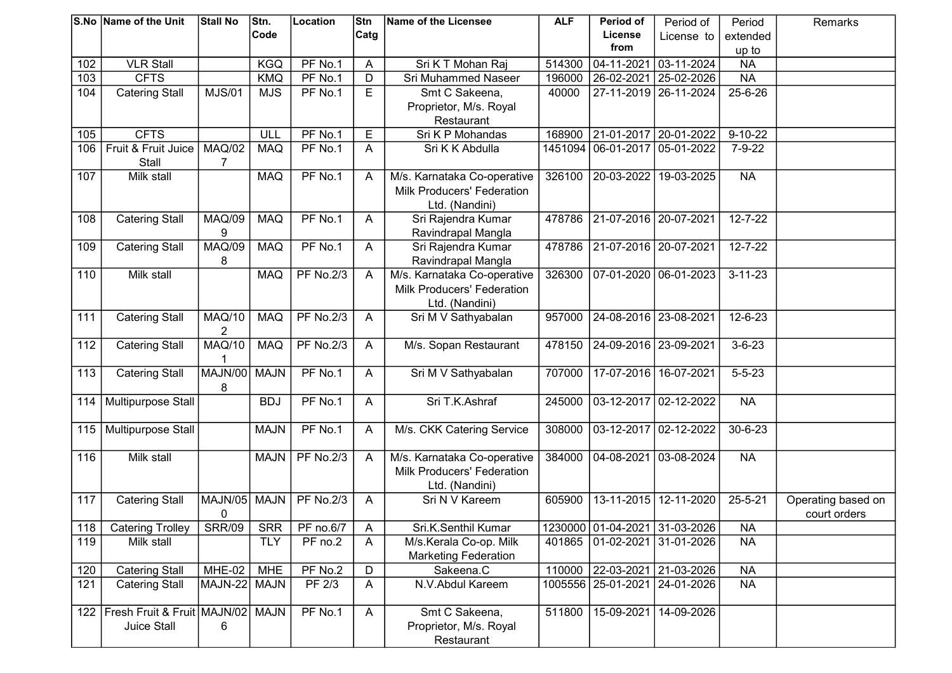|     | <b>S.No Name of the Unit</b>  | <b>Stall No</b>    | Stn.        | Location         | Stn  | Name of the Licensee                     | <b>ALF</b> | Period of                         | Period of               | Period        | Remarks            |
|-----|-------------------------------|--------------------|-------------|------------------|------|------------------------------------------|------------|-----------------------------------|-------------------------|---------------|--------------------|
|     |                               |                    | Code        |                  | Catg |                                          |            | License                           | License to              | extended      |                    |
|     |                               |                    |             |                  |      |                                          |            | from                              |                         | up to         |                    |
| 102 | <b>VLR Stall</b>              |                    | <b>KGQ</b>  | PF No.1          | Α    | Sri K T Mohan Raj                        | 514300     | 04-11-2021                        | 03-11-2024              | <b>NA</b>     |                    |
| 103 | <b>CFTS</b>                   |                    | <b>KMQ</b>  | PF No.1          | D    | Sri Muhammed Naseer                      | 196000     | 26-02-2021                        | 25-02-2026              | <b>NA</b>     |                    |
| 104 | <b>Catering Stall</b>         | <b>MJS/01</b>      | <b>MJS</b>  | PF No.1          | E    | Smt C Sakeena,                           | 40000      | 27-11-2019 26-11-2024             |                         | 25-6-26       |                    |
|     |                               |                    |             |                  |      | Proprietor, M/s. Royal                   |            |                                   |                         |               |                    |
|     |                               |                    |             |                  |      | Restaurant                               |            |                                   |                         |               |                    |
| 105 | <b>CFTS</b>                   |                    | ULL         | PF No.1          | E    | Sri K P Mohandas                         | 168900     | 21-01-2017                        | 20-01-2022              | $9 - 10 - 22$ |                    |
| 106 | Fruit & Fruit Juice           | <b>MAQ/02</b>      | <b>MAQ</b>  | PF No.1          | A    | Sri K K Abdulla                          | 1451094    | $\overline{06} - 01 - 2017$       | 05-01-2022              | $7 - 9 - 22$  |                    |
|     | Stall                         | 7                  |             |                  |      |                                          |            |                                   |                         |               |                    |
| 107 | Milk stall                    |                    | <b>MAQ</b>  | PF No.1          | A    | M/s. Karnataka Co-operative              | 326100     | 20-03-2022                        | 19-03-2025              | <b>NA</b>     |                    |
|     |                               |                    |             |                  |      | Milk Producers' Federation               |            |                                   |                         |               |                    |
|     |                               |                    |             |                  |      | Ltd. (Nandini)                           |            |                                   |                         |               |                    |
| 108 | <b>Catering Stall</b>         | <b>MAQ/09</b>      | <b>MAQ</b>  | PF No.1          | A    | Sri Rajendra Kumar                       | 478786     | 21-07-2016   20-07-2021           |                         | $12 - 7 - 22$ |                    |
|     |                               | 9                  |             |                  |      | Ravindrapal Mangla                       |            |                                   |                         |               |                    |
| 109 | <b>Catering Stall</b>         | <b>MAQ/09</b>      | <b>MAQ</b>  | PF No.1          | A    | Sri Rajendra Kumar                       | 478786     | 21-07-2016 20-07-2021             |                         | $12 - 7 - 22$ |                    |
|     |                               | 8                  |             |                  |      | Ravindrapal Mangla                       |            |                                   |                         |               |                    |
| 110 | Milk stall                    |                    | <b>MAQ</b>  | <b>PF No.2/3</b> | A    | M/s. Karnataka Co-operative              | 326300     | 07-01-2020                        | 06-01-2023              | $3 - 11 - 23$ |                    |
|     |                               |                    |             |                  |      | <b>Milk Producers' Federation</b>        |            |                                   |                         |               |                    |
|     |                               |                    |             |                  |      | Ltd. (Nandini)                           |            |                                   |                         |               |                    |
| 111 | <b>Catering Stall</b>         | <b>MAQ/10</b>      | <b>MAQ</b>  | <b>PF No.2/3</b> | A    | Sri M V Sathyabalan                      | 957000     | 24-08-2016   23-08-2021           |                         | 12-6-23       |                    |
|     |                               | 2                  |             |                  |      |                                          |            |                                   |                         |               |                    |
| 112 | <b>Catering Stall</b>         | <b>MAQ/10</b>      | <b>MAQ</b>  | <b>PF No.2/3</b> | A    | M/s. Sopan Restaurant                    | 478150     | 24-09-2016 23-09-2021             |                         | $3 - 6 - 23$  |                    |
|     |                               |                    |             |                  |      |                                          |            |                                   |                         |               |                    |
| 113 | <b>Catering Stall</b>         | MAJN/00            | <b>MAJN</b> | PF No.1          | A    | Sri M V Sathyabalan                      | 707000     | 17-07-2016   16-07-2021           |                         | $5 - 5 - 23$  |                    |
|     |                               | 8                  |             |                  |      |                                          |            |                                   |                         |               |                    |
| 114 | Multipurpose Stall            |                    | <b>BDJ</b>  | PF No.1          | A    | Sri T.K.Ashraf                           | 245000     | 03-12-2017 02-12-2022             |                         | <b>NA</b>     |                    |
|     |                               |                    |             |                  |      |                                          |            |                                   |                         |               |                    |
| 115 | Multipurpose Stall            |                    | <b>MAJN</b> | PF No.1          | A    | M/s. CKK Catering Service                | 308000     | 03-12-2017 02-12-2022             |                         | 30-6-23       |                    |
|     |                               |                    |             |                  |      |                                          |            |                                   |                         |               |                    |
| 116 | Milk stall                    |                    | <b>MAJN</b> | <b>PF No.2/3</b> | A    | M/s. Karnataka Co-operative              | 384000     | 04-08-2021                        | 03-08-2024              | <b>NA</b>     |                    |
|     |                               |                    |             |                  |      | Milk Producers' Federation               |            |                                   |                         |               |                    |
|     |                               |                    |             |                  |      | Ltd. (Nandini)<br>Sri N V Kareem         |            |                                   |                         |               |                    |
| 117 | <b>Catering Stall</b>         | MAJN/05            | <b>MAJN</b> | <b>PF No.2/3</b> | A    |                                          | 605900     |                                   | 13-11-2015   12-11-2020 | $25 - 5 - 21$ | Operating based on |
|     |                               | 0<br><b>SRR/09</b> | <b>SRR</b>  | PF no.6/7        |      | Sri.K.Senthil Kumar                      |            | 1230000 01-04-2021 31-03-2026     |                         | <b>NA</b>     | court orders       |
| 118 | <b>Catering Trolley</b>       |                    |             |                  | A    |                                          |            |                                   |                         |               |                    |
| 119 | Milk stall                    |                    | <b>TLY</b>  | PF no.2          | A    | M/s.Kerala Co-op. Milk                   |            | 401865   01-02-2021   31-01-2026  |                         | <b>NA</b>     |                    |
| 120 | <b>Catering Stall</b>         | MHE-02             | <b>MHE</b>  | PF No.2          | D    | <b>Marketing Federation</b><br>Sakeena.C |            | 110000 22-03-2021 21-03-2026      |                         | <b>NA</b>     |                    |
| 121 |                               | MAJN-22  MAJN      |             | PF 2/3           |      | N.V.Abdul Kareem                         |            | 1005556   25-01-2021   24-01-2026 |                         | <b>NA</b>     |                    |
|     | <b>Catering Stall</b>         |                    |             |                  | A    |                                          |            |                                   |                         |               |                    |
| 122 | Fresh Fruit & Fruit   MAJN/02 |                    | <b>MAJN</b> | PF No.1          | A    | Smt C Sakeena,                           | 511800     | 15-09-2021                        | 14-09-2026              |               |                    |
|     | Juice Stall                   | 6                  |             |                  |      | Proprietor, M/s. Royal                   |            |                                   |                         |               |                    |
|     |                               |                    |             |                  |      | Restaurant                               |            |                                   |                         |               |                    |